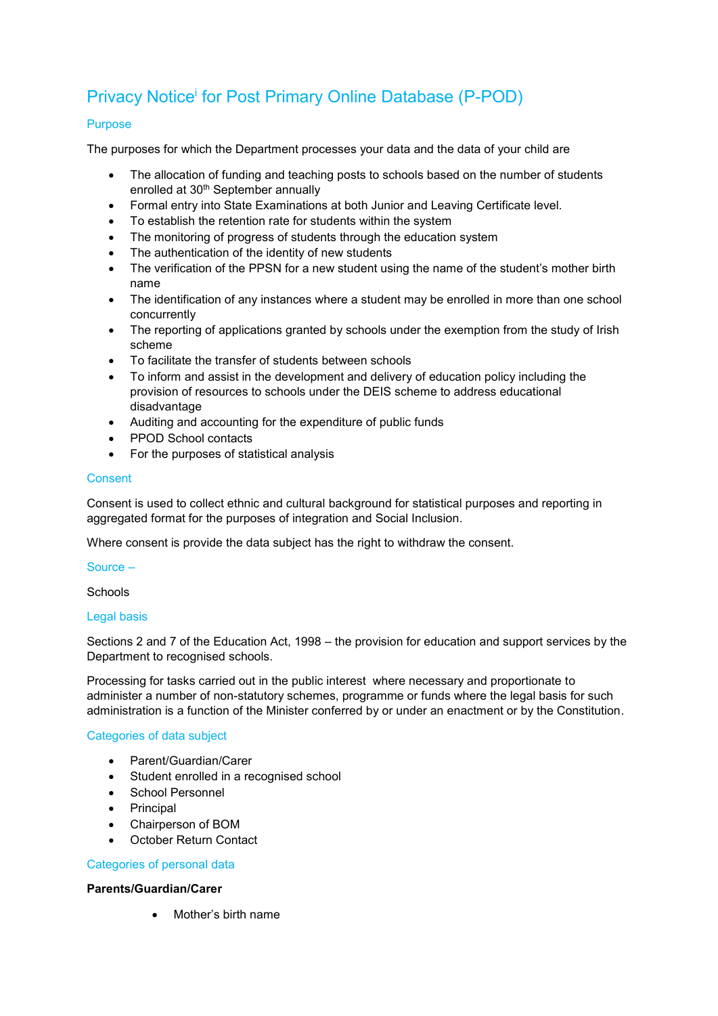# Privacy Notice<sup>i</sup> for Post Primary Online Database (P-POD)

## Purpose

The purposes for which the Department processes your data and the data of your child are

- The allocation of funding and teaching posts to schools based on the number of students enrolled at 30th September annually
- Formal entry into State Examinations at both Junior and Leaving Certificate level.
- To establish the retention rate for students within the system
- The monitoring of progress of students through the education system
- The authentication of the identity of new students
- The verification of the PPSN for a new student using the name of the student's mother birth name
- The identification of any instances where a student may be enrolled in more than one school concurrently
- The reporting of applications granted by schools under the exemption from the study of Irish scheme
- To facilitate the transfer of students between schools
- To inform and assist in the development and delivery of education policy including the provision of resources to schools under the DEIS scheme to address educational disadvantage
- Auditing and accounting for the expenditure of public funds
- PPOD School contacts
- For the purposes of statistical analysis

## **Consent**

Consent is used to collect ethnic and cultural background for statistical purposes and reporting in aggregated format for the purposes of integration and Social Inclusion.

Where consent is provide the data subject has the right to withdraw the consent.

#### Source –

**Schools** 

#### Legal basis

Sections 2 and 7 of the Education Act, 1998 – the provision for education and support services by the Department to recognised schools.

Processing for tasks carried out in the public interest where necessary and proportionate to administer a number of non-statutory schemes, programme or funds where the legal basis for such administration is a function of the Minister conferred by or under an enactment or by the Constitution.

## Categories of data subject

- Parent/Guardian/Carer
- Student enrolled in a recognised school
- School Personnel
- Principal
- Chairperson of BOM
- October Return Contact

## Categories of personal data

#### **Parents/Guardian/Carer**

Mother's birth name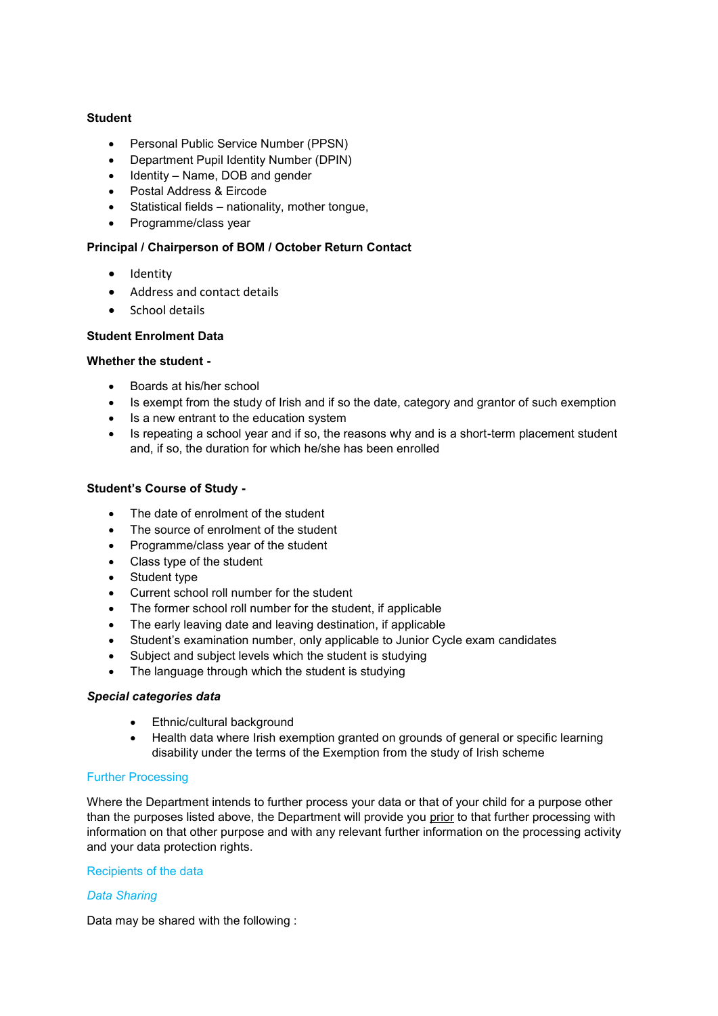## **Student**

- Personal Public Service Number (PPSN)
- Department Pupil Identity Number (DPIN)
- $\bullet$  Identity Name, DOB and gender
- Postal Address & Eircode
- Statistical fields nationality, mother tongue,
- Programme/class year

## **Principal / Chairperson of BOM / October Return Contact**

- Identity
- Address and contact details
- School details

## **Student Enrolment Data**

#### **Whether the student -**

- Boards at his/her school
- Is exempt from the study of Irish and if so the date, category and grantor of such exemption
- Is a new entrant to the education system
- Is repeating a school year and if so, the reasons why and is a short-term placement student and, if so, the duration for which he/she has been enrolled

## **Student's Course of Study -**

- The date of enrolment of the student
- The source of enrolment of the student
- Programme/class year of the student
- Class type of the student
- Student type
- Current school roll number for the student
- The former school roll number for the student, if applicable
- The early leaving date and leaving destination, if applicable
- Student's examination number, only applicable to Junior Cycle exam candidates
- Subject and subject levels which the student is studying
- The language through which the student is studying

## *Special categories data*

- Ethnic/cultural background
- Health data where Irish exemption granted on grounds of general or specific learning disability under the terms of the Exemption from the study of Irish scheme

## Further Processing

Where the Department intends to further process your data or that of your child for a purpose other than the purposes listed above, the Department will provide you prior to that further processing with information on that other purpose and with any relevant further information on the processing activity and your data protection rights.

## Recipients of the data

## *Data Sharing*

Data may be shared with the following :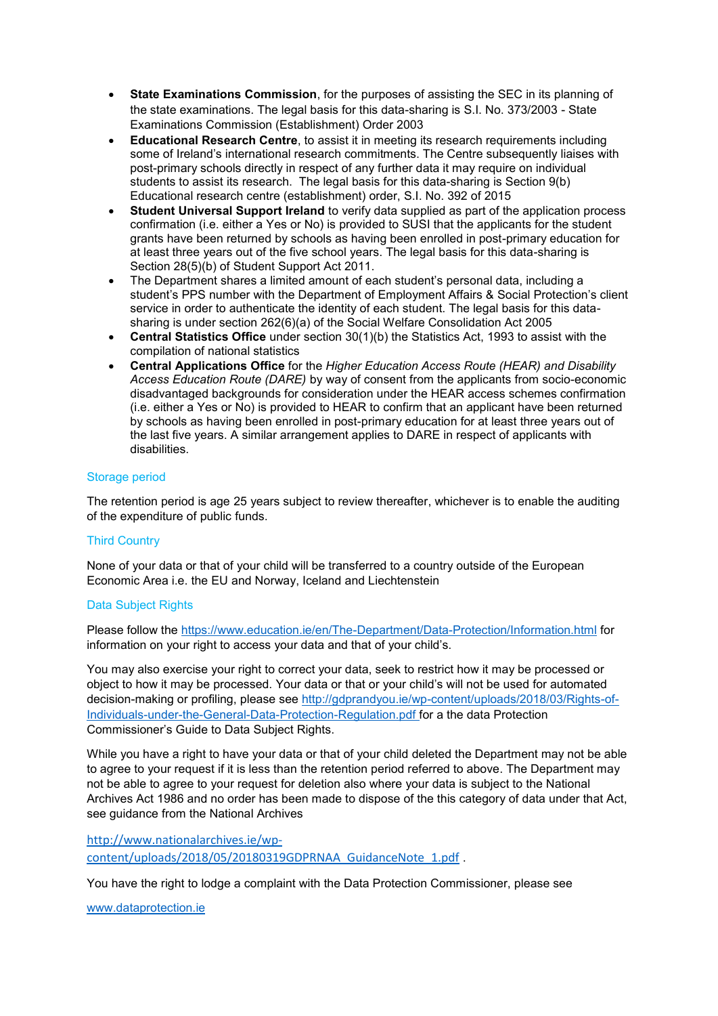- **State Examinations Commission**, for the purposes of assisting the SEC in its planning of the state examinations. The legal basis for this data-sharing is S.I. No. 373/2003 - State Examinations Commission (Establishment) Order 2003
- **Educational Research Centre**, to assist it in meeting its research requirements including some of Ireland's international research commitments. The Centre subsequently liaises with post-primary schools directly in respect of any further data it may require on individual students to assist its research. The legal basis for this data-sharing is Section 9(b) Educational research centre (establishment) order, S.I. No. 392 of 2015
- **Student Universal Support Ireland** to verify data supplied as part of the application process confirmation (i.e. either a Yes or No) is provided to SUSI that the applicants for the student grants have been returned by schools as having been enrolled in post-primary education for at least three years out of the five school years. The legal basis for this data-sharing is Section 28(5)(b) of Student Support Act 2011.
- The Department shares a limited amount of each student's personal data, including a student's PPS number with the Department of Employment Affairs & Social Protection's client service in order to authenticate the identity of each student. The legal basis for this datasharing is under section 262(6)(a) of the Social Welfare Consolidation Act 2005
- **Central Statistics Office** under section 30(1)(b) the Statistics Act, 1993 to assist with the compilation of national statistics
- **Central Applications Office** for the *Higher Education Access Route (HEAR) and Disability Access Education Route (DARE)* by way of consent from the applicants from socio-economic disadvantaged backgrounds for consideration under the HEAR access schemes confirmation (i.e. either a Yes or No) is provided to HEAR to confirm that an applicant have been returned by schools as having been enrolled in post-primary education for at least three years out of the last five years. A similar arrangement applies to DARE in respect of applicants with disabilities.

## Storage period

The retention period is age 25 years subject to review thereafter, whichever is to enable the auditing of the expenditure of public funds.

## Third Country

None of your data or that of your child will be transferred to a country outside of the European Economic Area i.e. the EU and Norway, Iceland and Liechtenstein

#### Data Subject Rights

Please follow the<https://www.education.ie/en/The-Department/Data-Protection/Information.html> for information on your right to access your data and that of your child's.

You may also exercise your right to correct your data, seek to restrict how it may be processed or object to how it may be processed. Your data or that or your child's will not be used for automated decision-making or profiling, please see [http://gdprandyou.ie/wp-content/uploads/2018/03/Rights-of-](http://gdprandyou.ie/wp-content/uploads/2018/03/Rights-of-Individuals-under-the-General-Data-Protection-Regulation.pdf)[Individuals-under-the-General-Data-Protection-Regulation.pdf](http://gdprandyou.ie/wp-content/uploads/2018/03/Rights-of-Individuals-under-the-General-Data-Protection-Regulation.pdf) for a the data Protection Commissioner's Guide to Data Subject Rights.

While you have a right to have your data or that of your child deleted the Department may not be able to agree to your request if it is less than the retention period referred to above. The Department may not be able to agree to your request for deletion also where your data is subject to the National Archives Act 1986 and no order has been made to dispose of the this category of data under that Act, see guidance from the National Archives

[http://www.nationalarchives.ie/wp](http://www.nationalarchives.ie/wp-content/uploads/2018/05/20180319GDPRNAA_GuidanceNote_1.pdf)[content/uploads/2018/05/20180319GDPRNAA\\_GuidanceNote\\_1.pdf](http://www.nationalarchives.ie/wp-content/uploads/2018/05/20180319GDPRNAA_GuidanceNote_1.pdf) .

You have the right to lodge a complaint with the Data Protection Commissioner, please see

[www.dataprotection.ie](http://www.dataprotection.ie/)